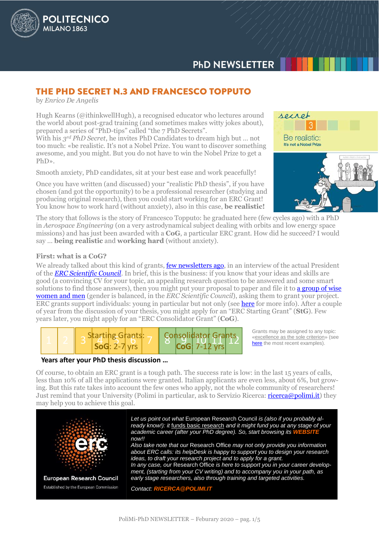

# THE PHD SECRET N.3 AND FRANCESCO TOPPUTO

by *Enrico De Angelis*

**POLITECNICO** 

MILANO<sub>1863</sub>

Hugh Kearns (@ithinkwellHugh), a recognised educator who lectures around the world about post-grad training (and sometimes makes witty jokes about), prepared a series of "PhD-tips" called "the 7 PhD Secrets".

With his *3 rd PhD Secret*, he invites PhD Candidates to dream high but … not too much: «be realistic. It's not a Nobel Prize. You want to discover something awesome, and you might. But you do not have to win the Nobel Prize to get a PhD».

Smooth anxiety, PhD candidates, sit at your best ease and work peacefully!

Once you have written (and discussed) your "realistic PhD thesis", if you have chosen (and got the opportunity) to be a professional researcher (studying and producing original research), then you could start working for an ERC Grant! You know how to work hard (without anxiety), also in this case, **be realistic!**

secret Be realistic: It's not a Nobel Prize

The story that follows is the story of Francesco Topputo: he graduated here (few cycles ago) with a PhD in *Aerospace Engineering* (on a very astrodynamical subject dealing with orbits and low energy space missions) and has just been awarded with a **CoG**, a particular ERC grant. How did he succeed? I would say … **being realistic** and **working hard** (without anxiety).

#### **First: what is a CoG?**

We already talked about this kind of grants, **few newsletters ago**, in an interview of the actual President of the *[ERC Scientific Council](https://erc.europa.eu/about-erc/erc-president-and-scientific-council)*. In brief, this is the business: if you know that your ideas and skills are good (a convincing CV for your topic, an appealing research question to be answered and some smart solutions to find those answers), then you might put your proposal to paper and file it to a group of wise [women and men](https://erc.europa.eu/about-erc/erc-president-and-scientific-council) (gender is balanced, in the *ERC Scientific Council*), asking them to grant your project. ERC grants support individuals: young in particular but not only (see [here](https://erc.europa.eu/) for more info). After a couple of year from the discussion of your thesis, you might apply for an "ERC Starting Grant" (**StG**). Few years later, you might apply for an "ERC Consolidator Grant" (**CoG**).



# **Years after your PhD thesis discussion …**

Grants may be assigned to any topic: «excellence as the sole criterion» (see [here](https://erc.europa.eu/news/erc-starting-grant-2018-examples) the most recent examples).

Of course, to obtain an ERC grant is a tough path. The success rate is low: in the last 15 years of calls, less than 10% of all the applications were granted. Italian applicants are even less, about 6%, but growing. But this rate takes into account the few ones who apply, not the whole community of researchers! Just remind that your University (Polimi in particular, ask to Servizio Ricerca[: ricerca@polimi.it\)](mailto:ricerca@polimi.it) they may help you to achieve this goal.

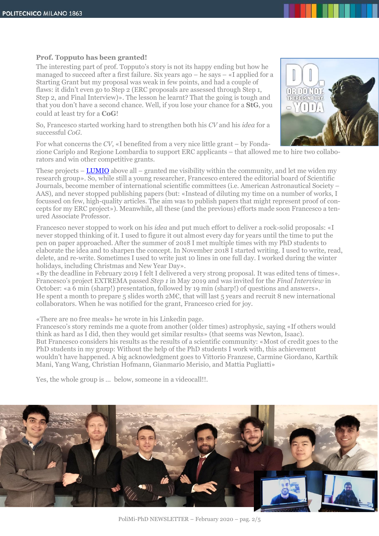#### **Prof. Topputo has been granted!**

The interesting part of prof. Topputo's story is not its happy ending but how he managed to succeed after a first failure. Six years ago – he says – «I applied for a Starting Grant but my proposal was weak in few points, and had a couple of flaws: it didn't even go to Step 2 (ERC proposals are assessed through Step 1, Step 2, and Final Interview)». The lesson he learnt? That the going is tough and that you don't have a second chance. Well, if you lose your chance for a **StG**, you could at least try for a **CoG**!

So, Francesco started working hard to strengthen both his *CV* and his *idea* for a successful *CoG*.



zione Cariplo and Regione Lombardia to support ERC applicants – that allowed me to hire two collaborators and win other competitive grants.

These projects – [LUMIO](https://arc.aiaa.org/doi/abs/10.2514/6.2018-2599) above all – granted me visibility within the community, and let me widen my research group». So, while still a young researcher, Francesco entered the editorial board of Scientific Journals, become member of international scientific committees (i.e. American Astronautical Society – AAS), and never stopped publishing papers (but: «Instead of diluting my time on a number of works, I focussed on few, high-quality articles. The aim was to publish papers that might represent proof of concepts for my ERC project»). Meanwhile, all these (and the previous) efforts made soon Francesco a tenured Associate Professor.

Francesco never stopped to work on his *idea* and put much effort to deliver a rock-solid proposals: «I never stopped thinking of it. I used to figure it out almost every day for years until the time to put the pen on paper approached. After the summer of 2018 I met multiple times with my PhD students to elaborate the idea and to sharpen the concept. In November 2018 I started writing. I used to write, read, delete, and re-write. Sometimes I used to write just 10 lines in one full day. I worked during the winter holidays, including Christmas and New Year Day».

«By the deadline in February 2019 I felt I delivered a very strong proposal. It was edited tens of times». Francesco's project EXTREMA passed *Step 1* in May 2019 and was invited for the *Final Interview* in October: «a 6 min (sharp!) presentation, followed by 19 min (sharp!) of questions and answers». He spent a month to prepare 5 slides worth 2M€, that will last 5 years and recruit 8 new international collaborators. When he was notified for the grant, Francesco cried for joy.

«There are no free meals» he wrote in his Linkedin page.

Francesco's story reminds me a quote from another (older times) astrophysic, saying «If others would think as hard as I did, then they would get similar results» (that seems was Newton, Isaac). But Francesco considers his results as the results of a scientific community: «Most of credit goes to the PhD students in my group: Without the help of the PhD students I work with, this achievement wouldn't have happened. A big acknowledgment goes to Vittorio Franzese, Carmine Giordano, Karthik Mani, Yang Wang, Christian Hofmann, Gianmario Merisio, and Mattia Pugliatti»

Yes, the whole group is … below, someone in a videocall!!.



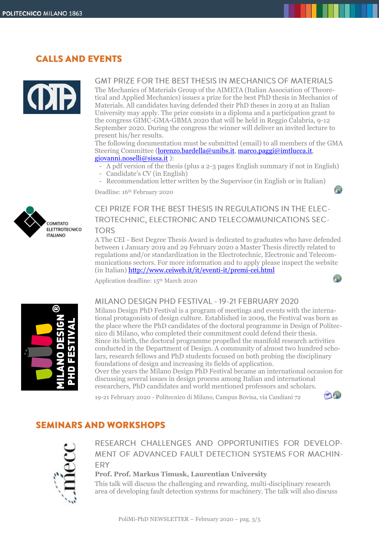# **CALLS AND EVENTS**



# **GMT PRIZE FOR THE BEST THESIS IN MECHANICS OF MATERIALS**

The Mechanics of Materials Group of the AIMETA (Italian Association of Theoretical and Applied Mechanics) issues a prize for the best PhD thesis in Mechanics of Materials. All candidates having defended their PhD theses in 2019 at an Italian University may apply. The prize consists in a diploma and a participation grant to the congress GIMC-GMA-GBMA 2020 that will be held in Reggio Calabria, 9-12 September 2020. During the congress the winner will deliver an invited lecture to present his/her results.

The following documentation must be submitted (email) to all members of the GMA Steering Committee [\(lorenzo.bardella@unibs.it,](mailto:lorenzo.bardella@unibs.it) [marco.paggi@imtlucca.it,](mailto:marco.paggi@imtlucca.it) [giovanni.noselli@sissa.it](mailto:giovanni.noselli@sissa.it) ):

- A pdf version of the thesis (plus a 2-3 pages English summary if not in English)
- Candidate's CV (in English)
- Recommendation letter written by the Supervisor (in English or in Italian)

Deadline: 16th February 2020



# CEI PRIZE FOR THE BEST THESIS IN REGULATIONS IN THE ELEC-TROTECHNIC, ELECTRONIC AND TELECOMMUNICATIONS SEC-**TORS**

A The CEI - Best Degree Thesis Award is dedicated to graduates who have defended between 1 January 2019 and 29 February 2020 a Master Thesis directly related to regulations and/or standardization in the Electrotechnic, Electronic and Telecommunications sectors. For more information and to apply please inspect the website (in Italian[\) http://www.ceiweb.it/it/eventi-it/premi-cei.html](http://www.ceiweb.it/it/eventi-it/premi-cei.html)  A)

Application deadline: 15 th March 2020



# MILANO DESIGN PHD FESTIVAL - 19-21 FEBRUARY 2020

Milano Design PhD Festival is a program of meetings and events with the international protagonists of design culture. Established in 2009, the Festival was born as the place where the PhD candidates of the doctoral programme in Design of Politecnico di Milano, who completed their commitment could defend their thesis. Since its birth, the doctoral programme propelled the manifold research activities conducted in the Department of Design. A community of almost two hundred scholars, research fellows and PhD students focused on both probing the disciplinary foundations of design and increasing its fields of application.

Over the years the Milano Design PhD Festival became an international occasion for discussing several issues in design process among Italian and international researchers, PhD candidates and world mentioned professors and scholars.

19-21 February 2020 - Politecnico di Milano, Campus Bovisa, via Candiani 72



41

# **SEMINARS AND WORKSHOPS**



RESEARCH CHALLENGES AND OPPORTUNITIES FOR DEVELOP-MENT OF ADVANCED FAULT DETECTION SYSTEMS FOR MACHIN-**FRY** 

### **Prof. Prof. Markus Timusk, Laurentian University**

This talk will discuss the challenging and rewarding, multi-disciplinary research area of developing fault detection systems for machinery. The talk will also discuss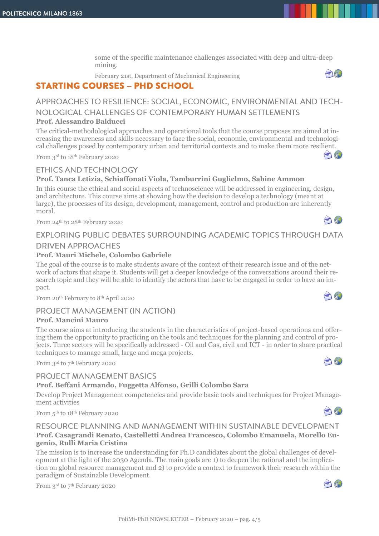some of the specific maintenance challenges associated with deep and ultra-deep mining.

February 21st, Department of Mechanical Engineering

# **STARTING COURSES - PHD SCHOOL**

# APPROACHES TO RESILIENCE: SOCIAL, ECONOMIC, ENVIRONMENTAL AND TECH-NOLOGICAL CHALLENGES OF CONTEMPORARY HUMAN SETTLEMENTS

### **Prof. Alessandro Balducci**

The critical-methodological approaches and operational tools that the course proposes are aimed at increasing the awareness and skills necessary to face the social, economic, environmental and technological challenges posed by contemporary urban and territorial contexts and to make them more resilient.

From 3rd to 18th February 2020

## ETHICS AND TECHNOLOGY

## **Prof. Tanca Letizia, Schiaffonati Viola, Tamburrini Guglielmo, Sabine Ammon**

In this course the ethical and social aspects of technoscience will be addressed in engineering, design, and architecture. This course aims at showing how the decision to develop a technology (meant at large), the processes of its design, development, management, control and production are inherently moral. AO

From 24th to 28th February 2020

# EXPLORING PUBLIC DEBATES SURROUNDING ACADEMIC TOPICS THROUGH DATA **DRIVEN APPROACHES**

## **Prof. Mauri Michele, Colombo Gabriele**

The goal of the course is to make students aware of the context of their research issue and of the network of actors that shape it. Students will get a deeper knowledge of the conversations around their research topic and they will be able to identify the actors that have to be engaged in order to have an impact.

From 20th February to 8th April 2020

# PROJECT MANAGEMENT (IN ACTION)

#### **Prof. Mancini Mauro**

The course aims at introducing the students in the characteristics of project-based operations and offering them the opportunity to practicing on the tools and techniques for the planning and control of projects. Three sectors will be specifically addressed - Oil and Gas, civil and ICT - in order to share practical techniques to manage small, large and mega projects.

From 3rd to 7 th February 2020

# **PROJECT MANAGEMENT BASICS**

### **Prof. Beffani Armando, Fuggetta Alfonso, Grilli Colombo Sara**

Develop Project Management competencies and provide basic tools and techniques for Project Management activities

From 5<sup>th</sup> to 18<sup>th</sup> February 2020

### RESOURCE PLANNING AND MANAGEMENT WITHIN SUSTAINABLE DEVELOPMENT **Prof. Casagrandi Renato, Castelletti Andrea Francesco, Colombo Emanuela, Morello Eugenio, Rulli Maria Cristina**

The mission is to increase the understanding for Ph.D candidates about the global challenges of development at the light of the 2030 Agenda. The main goals are 1) to deepen the rational and the implication on global resource management and 2) to provide a context to framework their research within the paradigm of Sustainable Development.

From 3rd to 7<sup>th</sup> February 2020







 $\bigcap_{i=1}^n$ 



AN